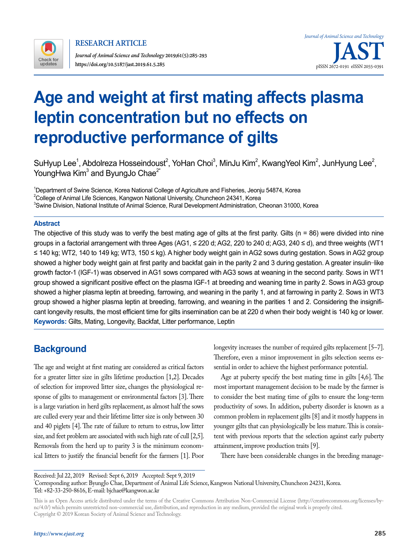

**RESEARCH ARTICLE**

*Journal of Animal Science and Technology* **2019;61(5):285-293 https://doi.org/10.5187/jast.2019.61.5.285** pISSN 2672-0191 eISSN 2675-039

# **Age and weight at first mating affects plasma leptin concentration but no effects on reproductive performance of gilts**

SuHyup Lee<sup>1</sup>, Abdolreza Hosseindoust<sup>2</sup>, YoHan Choi<sup>3</sup>, MinJu Kim<sup>2</sup>, KwangYeol Kim<sup>2</sup>, JunHyung Lee<sup>2</sup>, YoungHwa Kim $^3$  and ByungJo Chae $^{2^\star}$ 

1 Department of Swine Science, Korea National College of Agriculture and Fisheries, Jeonju 54874, Korea  $^{\rm 2}$ College of Animal Life Sciences, Kangwon National University, Chuncheon 24341, Korea  $\mathrm{^3}$ Swine Division, National Institute of Animal Science, Rural Development Administration, Cheonan 31000, Korea

#### **Abstract**

The objective of this study was to verify the best mating age of gilts at the first parity. Gilts ( $n = 86$ ) were divided into nine groups in a factorial arrangement with three Ages (AG1, ≤ 220 d; AG2, 220 to 240 d; AG3, 240 ≤ d), and three weights (WT1 ≤ 140 kg; WT2, 140 to 149 kg; WT3, 150 ≤ kg). A higher body weight gain in AG2 sows during gestation. Sows in AG2 group showed a higher body weight gain at first parity and backfat gain in the parity 2 and 3 during gestation. A greater insulin–like growth factor-1 (IGF-1) was observed in AG1 sows compared with AG3 sows at weaning in the second parity. Sows in WT1 group showed a significant positive effect on the plasma IGF-1 at breeding and weaning time in parity 2. Sows in AG3 group showed a higher plasma leptin at breeding, farrowing, and weaning in the parity 1, and at farrowing in parity 2. Sows in WT3 group showed a higher plasma leptin at breeding, farrowing, and weaning in the parities 1 and 2. Considering the insignificant longevity results, the most efficient time for gilts insemination can be at 220 d when their body weight is 140 kg or lower. **Keywords:** Gilts, Mating, Longevity, Backfat, Litter performance, Leptin

## **Background**

The age and weight at first mating are considered as critical factors for a greater litter size in gilts lifetime production [1,2]. Decades of selection for improved litter size, changes the physiological response of gilts to management or environmental factors [3]. There is a large variation in herd gilts replacement, as almost half the sows are culled every year and their lifetime litter size is only between 30 and 40 piglets [4]. The rate of failure to return to estrus, low litter size, and feet problem are associated with such high rate of cull [2,5]. Removals from the herd up to parity 3 is the minimum economical litters to justify the financial benefit for the farmers [1]. Poor longevity increases the number of required gilts replacement [5–7]. Therefore, even a minor improvement in gilts selection seems essential in order to achieve the highest performance potential.

Age at puberty specify the best mating time in gilts [4,6]. The most important management decision to be made by the farmer is to consider the best mating time of gilts to ensure the long-term productivity of sows. In addition, puberty disorder is known as a common problem in replacement gilts [8] and it mostly happens in younger gilts that can physiologically be less mature. This is consistent with previous reports that the selection against early puberty attainment, improve production traits [9].

There have been considerable changes in the breeding manage-

Received: Jul 22, 2019 Revised: Sept 6, 2019 Accepted: Sept 9, 2019

\* Corresponding author: ByungJo Chae, Department of Animal Life Science, Kangwon National University, Chuncheon 24231, Korea. Tel: +82-33-250-8616, E-mail: bjchae@kangwon.ac.kr

This is an Open Access article distributed under the terms of the Creative Commons Attribution Non-Commercial License ([http://creativecommons.org/licenses/by](http://creativecommons.org/licenses/by-nc/4.0/)[nc/4.0/\)](http://creativecommons.org/licenses/by-nc/4.0/) which permits unrestricted non-commercial use, distribution, and reproduction in any medium, provided the original work is properly cited. Copyright © 2019 Korean Society of Animal Science and Technology.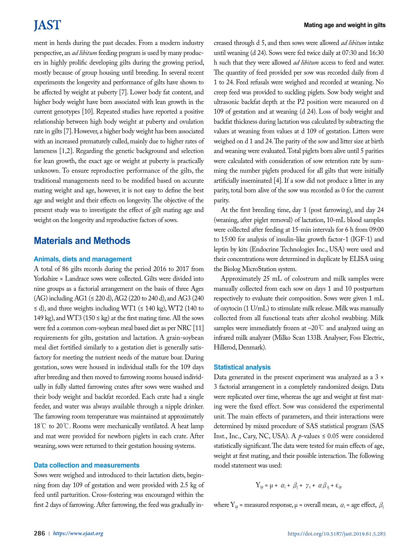## **JAST**

ment in herds during the past decades. From a modern industry perspective, an *ad libitum* feeding program is used by many producers in highly prolific developing gilts during the growing period, mostly because of group housing until breeding. In several recent experiments the longevity and performance of gilts have shown to be affected by weight at puberty [7]. Lower body fat content, and higher body weight have been associated with lean growth in the current genotypes [10]. Repeated studies have reported a positive relationship between high body weight at puberty and ovulation rate in gilts [7]. However, a higher body weight has been associated with an increased prematurely culled, mainly due to higher rates of lameness [1,2]. Regarding the genetic background and selection for lean growth, the exact age or weight at puberty is practically unknown. To ensure reproductive performance of the gilts, the traditional managements need to be modified based on accurate mating weight and age, however, it is not easy to define the best age and weight and their effects on longevity. The objective of the present study was to investigate the effect of gilt mating age and weight on the longevity and reproductive factors of sows.

## **Materials and Methods**

#### **Animals, diets and management**

A total of 86 gilts records during the period 2016 to 2017 from Yorkshire × Landrace sows were collected. Gilts were divided into nine groups as a factorial arrangement on the basis of three Ages (AG) including AG1 (≤ 220 d), AG2 (220 to 240 d), and AG3 (240 ≤ d), and three weights including WT1 (≤ 140 kg), WT2 (140 to 149 kg), and WT3 (150  $\leq$  kg) at the first mating time. All the sows were fed a common corn-soybean meal based diet as per NRC [11] requirements for gilts, gestation and lactation. A grain-soybean meal diet fortified similarly to a gestation diet is generally satisfactory for meeting the nutrient needs of the mature boar. During gestation, sows were housed in individual stalls for the 109 days after breeding and then moved to farrowing rooms housed individually in fully slatted farrowing crates after sows were washed and their body weight and backfat recorded. Each crate had a single feeder, and water was always available through a nipple drinker. The farrowing room temperature was maintained at approximately 18℃ to 20℃. Rooms were mechanically ventilated. A heat lamp and mat were provided for newborn piglets in each crate. After weaning, sows were returned to their gestation housing systems.

#### **Data collection and measurements**

Sows were weighed and introduced to their lactation diets, beginning from day 109 of gestation and were provided with 2.5 kg of feed until parturition. Cross-fostering was encouraged within the first 2 days of farrowing. After farrowing, the feed was gradually increased through d 5, and then sows were allowed *ad libitum* intake until weaning (d 24). Sows were fed twice daily at 07:30 and 16:30 h such that they were allowed *ad libitum* access to feed and water. The quantity of feed provided per sow was recorded daily from d 1 to 24. Feed refusals were weighed and recorded at weaning. No creep feed was provided to suckling piglets. Sow body weight and ultrasonic backfat depth at the P2 position were measured on d 109 of gestation and at weaning (d 24). Loss of body weight and backfat thickness during lactation was calculated by subtracting the values at weaning from values at d 109 of gestation. Litters were weighed on d 1 and 24. The parity of the sow and litter size at birth and weaning were evaluated. Total piglets born alive until 5 parities were calculated with consideration of sow retention rate by summing the number piglets produced for all gilts that were initially artificially inseminated [4]. If a sow did not produce a litter in any parity, total born alive of the sow was recorded as 0 for the current parity.

At the first breeding time, day 1 (post farrowing), and day 24 (weaning, after piglet removal) of lactation, 10-mL blood samples were collected after feeding at 15-min intervals for 6 h from 09:00 to 15:00 for analysis of insulin‐like growth factor-1 (IGF-1) and leptin by kits (Endocrine Technologies Inc., USA) were used and their concentrations were determined in duplicate by ELISA using the Biolog MicroStation system.

Approximately 25 mL of colostrum and milk samples were manually collected from each sow on days 1 and 10 postpartum respectively to evaluate their composition. Sows were given 1 mL of oxytocin (1 U/mL) to stimulate milk release. Milk was manually collected from all functional teats after alcohol swabbing. Milk samples were immediately frozen at –20℃ and analyzed using an infrared milk analyzer (Milko Scan 133B. Analyser; Foss Electric, Hillerod, Denmark).

#### **Statistical analysis**

Data generated in the present experiment was analyzed as a 3 × 3 factorial arrangement in a completely randomized design. Data were replicated over time, whereas the age and weight at first mating were the fixed effect. Sow was considered the experimental unit. The main effects of parameters, and their interactions were determined by mixed procedure of SAS statistical program (SAS Inst., Inc., Cary, NC, USA). A  $p$ -values  $\leq 0.05$  were considered statistically significant. The data were tested for main effects of age, weight at first mating, and their possible interaction. The following model statement was used:

$$
Y_{ijt} = \mu + \alpha_i + \beta_j + \gamma_t + \alpha \beta_{ij} + \varepsilon_{ijt}
$$

where  $Y_{ijt}$  = measured response,  $\mu$  = overall mean,  $\alpha_i$  = age effect,  $\beta_j$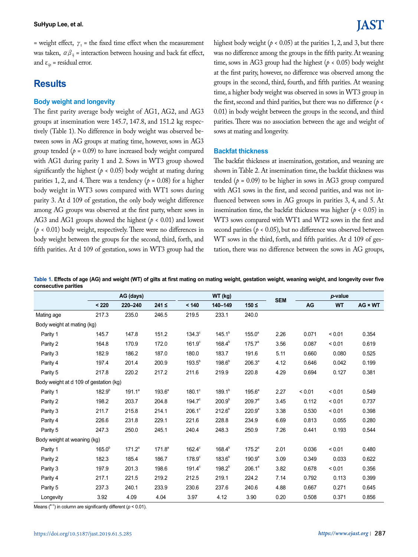#### **SuHyup Lee, et al.**

= weight effect,  $\gamma_t$  = the fixed time effect when the measurement was taken,  $\alpha \beta_{ii}$  = interaction between housing and back fat effect, and  $\varepsilon_{ijt}$  = residual error.

## **Results**

#### **Body weight and longevity**

The first parity average body weight of AG1, AG2, and AG3 groups at insemination were 145.7, 147.8, and 151.2 kg respectively (Table 1). No difference in body weight was observed between sows in AG groups at mating time, however, sows in AG3 group tended  $(p = 0.09)$  to have increased body weight compared with AG1 during parity 1 and 2. Sows in WT3 group showed significantly the highest ( $p < 0.05$ ) body weight at mating during parities 1, 2, and 4. There was a tendency ( $p = 0.08$ ) for a higher body weight in WT3 sows compared with WT1 sows during parity 3. At d 109 of gestation, the only body weight difference among AG groups was observed at the first party, where sows in AG3 and AG1 groups showed the highest ( $p < 0.01$ ) and lowest  $(p < 0.01)$  body weight, respectively. There were no differences in body weight between the groups for the second, third, forth, and fifth parities. At d 109 of gestation, sows in WT3 group had the highest body weight ( $p < 0.05$ ) at the parities 1, 2, and 3, but there was no difference among the groups in the fifth parity. At weaning time, sows in AG3 group had the highest ( $p < 0.05$ ) body weight at the first parity, however, no difference was observed among the groups in the second, third, fourth, and fifth parities. At weaning time, a higher body weight was observed in sows in WT3 group in the first, second and third parities, but there was no difference (*p* < 0.01) in body weight between the groups in the second, and third parities. There was no association between the age and weight of sows at mating and longevity.

#### **Backfat thickness**

The backfat thickness at insemination, gestation, and weaning are shown in Table 2. At insemination time, the backfat thickness was tended  $(p = 0.09)$  to be higher in sows in AG3 group compared with AG1 sows in the first, and second parities, and was not influenced between sows in AG groups in parities 3, 4, and 5. At insemination time, the backfat thickness was higher ( $p < 0.05$ ) in WT3 sows compared with WT1 and WT2 sows in the first and second parities ( $p < 0.05$ ), but no difference was observed between WT sows in the third, forth, and fifth parities. At d 109 of gestation, there was no difference between the sows in AG groups,

**Table 1. Effects of age (AG) and weight (WT) of gilts at first mating on mating weight, gestation weight, weaning weight, and longevity over five consecutive parities**

|                                        | AG (days)   |           |                    |                 | WT (kg)            |                    |            | p-value       |           |                |
|----------------------------------------|-------------|-----------|--------------------|-----------------|--------------------|--------------------|------------|---------------|-----------|----------------|
|                                        | < 220       | 220-240   | $241 \leq$         | < 140           | 140-149            | $150 \leq$         | <b>SEM</b> | $\mathsf{AG}$ | <b>WT</b> | $AG \times WT$ |
| Mating age                             | 217.3       | 235.0     | 246.5              | 219.5           | 233.1              | 240.0              |            |               |           |                |
| Body weight at mating (kg)             |             |           |                    |                 |                    |                    |            |               |           |                |
| Parity 1                               | 145.7       | 147.8     | 151.2              | $134.3^\circ$   | $145.1^{b}$        | $155.0^a$          | 2.26       | 0.071         | < 0.01    | 0.354          |
| Parity 2                               | 164.8       | 170.9     | 172.0              | $161.9^\circ$   | $168.4^{b}$        | $175.7^a$          | 3.56       | 0.087         | < 0.01    | 0.619          |
| Parity 3                               | 182.9       | 186.2     | 187.0              | 180.0           | 183.7              | 191.6              | 5.11       | 0.660         | 0.080     | 0.525          |
| Parity 4                               | 197.4       | 201.4     | 200.9              | $193.5^{b}$     | $198.6^{b}$        | $206.3^a$          | 4.12       | 0.646         | 0.042     | 0.199          |
| Parity 5                               | 217.8       | 220.2     | 217.2              | 211.6           | 219.9              | 220.8              | 4.29       | 0.694         | 0.127     | 0.381          |
| Body weight at d 109 of gestation (kg) |             |           |                    |                 |                    |                    |            |               |           |                |
| Parity 1                               | $182.9^{b}$ | $191.1^a$ | $193.6^a$          | $180.1^\circ$   | $189.1^{b}$        | $195.6^{\circ}$    | 2.27       | < 0.01        | < 0.01    | 0.549          |
| Parity 2                               | 198.2       | 203.7     | 204.8              | $194.7^\circ$   | 200.9 <sup>b</sup> | 209.7 <sup>a</sup> | 3.45       | 0.112         | < 0.01    | 0.737          |
| Parity 3                               | 211.7       | 215.8     | 214.1              | $206.1^\circ$   | $212.6^{b}$        | 220.9 <sup>a</sup> | 3.38       | 0.530         | < 0.01    | 0.398          |
| Parity 4                               | 226.6       | 231.8     | 229.1              | 221.6           | 228.8              | 234.9              | 6.69       | 0.813         | 0.055     | 0.280          |
| Parity 5                               | 247.3       | 250.0     | 245.1              | 240.4           | 248.3              | 250.9              | 7.26       | 0.441         | 0.193     | 0.544          |
| Body weight at weaning (kg)            |             |           |                    |                 |                    |                    |            |               |           |                |
| Parity 1                               | $165.0^{b}$ | $171.2^a$ | 171.8 <sup>a</sup> | $162.4^\circ$   | $168.4^{b}$        | $175.2^a$          | 2.01       | 0.036         | < 0.01    | 0.480          |
| Parity 2                               | 182.3       | 185.4     | 186.7              | $178.9^\circ$   | $183.6^{b}$        | 190.9 <sup>a</sup> | 3.09       | 0.349         | 0.033     | 0.622          |
| Parity 3                               | 197.9       | 201.3     | 198.6              | $191.4^{\circ}$ | $198.2^{b}$        | $206.1^a$          | 3.82       | 0.678         | < 0.01    | 0.356          |
| Parity 4                               | 217.1       | 221.5     | 219.2              | 212.5           | 219.1              | 224.2              | 7.14       | 0.792         | 0.113     | 0.399          |
| Parity 5                               | 237.3       | 240.1     | 233.9              | 230.6           | 237.6              | 240.6              | 4.88       | 0.667         | 0.271     | 0.645          |
| Longevity                              | 3.92        | 4.09      | 4.04               | 3.97            | 4.12               | 3.90               | 0.20       | 0.508         | 0.371     | 0.856          |

Means ( $a-c$ ) in column are significantly different ( $p < 0.01$ ).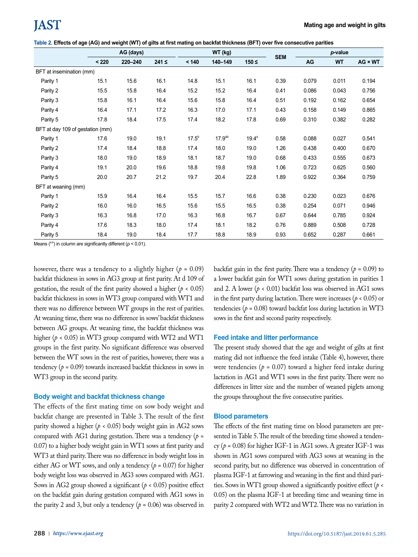|  | Table 2. Effects of age (AG) and weight (WT) of gilts at first mating on backfat thickness (BFT) over five consecutive parities |  |
|--|---------------------------------------------------------------------------------------------------------------------------------|--|
|  |                                                                                                                                 |  |

|                                  | AG (days) |         |            |            | WT (kg)            |            |            | p-value |           |         |
|----------------------------------|-----------|---------|------------|------------|--------------------|------------|------------|---------|-----------|---------|
|                                  | < 220     | 220-240 | $241 \leq$ | < 140      | 140-149            | $150 \leq$ | <b>SEM</b> | AG      | <b>WT</b> | AG × WT |
| BFT at insemination (mm)         |           |         |            |            |                    |            |            |         |           |         |
| Parity 1                         | 15.1      | 15.6    | 16.1       | 14.8       | 15.1               | 16.1       | 0.39       | 0.079   | 0.011     | 0.194   |
| Parity 2                         | 15.5      | 15.8    | 16.4       | 15.2       | 15.2               | 16.4       | 0.41       | 0.086   | 0.043     | 0.756   |
| Parity 3                         | 15.8      | 16.1    | 16.4       | 15.6       | 15.8               | 16.4       | 0.51       | 0.192   | 0.162     | 0.654   |
| Parity 4                         | 16.4      | 17.1    | 17.2       | 16.3       | 17.0               | 17.1       | 0.43       | 0.158   | 0.149     | 0.865   |
| Parity 5                         | 17.8      | 18.4    | 17.5       | 17.4       | 18.2               | 17.8       | 0.69       | 0.310   | 0.382     | 0.282   |
| BFT at day 109 of gestation (mm) |           |         |            |            |                    |            |            |         |           |         |
| Parity 1                         | 17.6      | 19.0    | 19.1       | $17.5^{b}$ | 17.9 <sup>ab</sup> | $19.4^a$   | 0.58       | 0.088   | 0.027     | 0.541   |
| Parity 2                         | 17.4      | 18.4    | 18.8       | 17.4       | 18.0               | 19.0       | 1.26       | 0.438   | 0.400     | 0.670   |
| Parity 3                         | 18.0      | 19.0    | 18.9       | 18.1       | 18.7               | 19.0       | 0.68       | 0.433   | 0.555     | 0.673   |
| Parity 4                         | 19.1      | 20.0    | 19.6       | 18.8       | 19.8               | 19.8       | 1.06       | 0.723   | 0.625     | 0.560   |
| Parity 5                         | 20.0      | 20.7    | 21.2       | 19.7       | 20.4               | 22.8       | 1.89       | 0.922   | 0.364     | 0.759   |
| BFT at weaning (mm)              |           |         |            |            |                    |            |            |         |           |         |
| Parity 1                         | 15.9      | 16.4    | 16.4       | 15.5       | 15.7               | 16.6       | 0.38       | 0.230   | 0.023     | 0.676   |
| Parity 2                         | 16.0      | 16.0    | 16.5       | 15.6       | 15.5               | 16.5       | 0.38       | 0.254   | 0.071     | 0.946   |
| Parity 3                         | 16.3      | 16.8    | 17.0       | 16.3       | 16.8               | 16.7       | 0.67       | 0.644   | 0.785     | 0.924   |
| Parity 4                         | 17.6      | 18.3    | 18.0       | 17.4       | 18.1               | 18.2       | 0.76       | 0.889   | 0.508     | 0.728   |
| Parity 5                         | 18.4      | 19.0    | 18.4       | 17.7       | 18.8               | 18.9       | 0.93       | 0.652   | 0.287     | 0.661   |

Means  $(3,6)$  in column are significantly different ( $p < 0.01$ ).

however, there was a tendency to a slightly higher ( $p = 0.09$ ) backfat thickness in sows in AG3 group at first parity. At d 109 of gestation, the result of the first parity showed a higher ( $p < 0.05$ ) backfat thickness in sows in WT3 group compared with WT1 and there was no difference between WT groups in the rest of parities. At weaning time, there was no difference in sows' backfat thickness between AG groups. At weaning time, the backfat thickness was higher (*p* < 0.05) in WT3 group compared with WT2 and WT1 groups in the first parity. No significant difference was observed between the WT sows in the rest of parities, however, there was a tendency  $(p = 0.09)$  towards increased backfat thickness in sows in WT3 group in the second parity.

#### **Body weight and backfat thickness change**

The effects of the first mating time on sow body weight and backfat change are presented in Table 3. The result of the first parity showed a higher ( $p < 0.05$ ) body weight gain in AG2 sows compared with AG1 during gestation. There was a tendency  $(p =$ 0.07) to a higher body weight gain in WT1 sows at first parity and WT3 at third parity. There was no difference in body weight loss in either AG or WT sows, and only a tendency ( $p = 0.07$ ) for higher body weight loss was observed in AG3 sows compared with AG1. Sows in AG2 group showed a significant  $(p < 0.05)$  positive effect on the backfat gain during gestation compared with AG1 sows in the parity 2 and 3, but only a tendency  $(p = 0.06)$  was observed in backfat gain in the first parity. There was a tendency ( $p = 0.09$ ) to a lower backfat gain for WT1 sows during gestation in parities 1 and 2. A lower ( $p < 0.01$ ) backfat loss was observed in AG1 sows in the first party during lactation. There were increases (*p* < 0.05) or tendencies ( $p = 0.08$ ) toward backfat loss during lactation in WT3 sows in the first and second parity respectively.

#### **Feed intake and litter performance**

The present study showed that the age and weight of gilts at first mating did not influence the feed intake (Table 4), however, there were tendencies ( $p = 0.07$ ) toward a higher feed intake during lactation in AG1 and WT1 sows in the first parity. There were no differences in litter size and the number of weaned piglets among the groups throughout the five consecutive parities.

#### **Blood parameters**

The effects of the first mating time on blood parameters are presented in Table 5. The result of the breeding time showed a tendency ( $p = 0.08$ ) for higher IGF-1 in AG1 sows. A greater IGF-1 was shown in AG1 sows compared with AG3 sows at weaning in the second parity, but no difference was observed in concentration of plasma IGF-1 at farrowing and weaning in the first and third parities. Sows in WT1 group showed a significantly positive effect (*p* < 0.05) on the plasma IGF-1 at breeding time and weaning time in parity 2 compared with WT2 and WT2. There was no variation in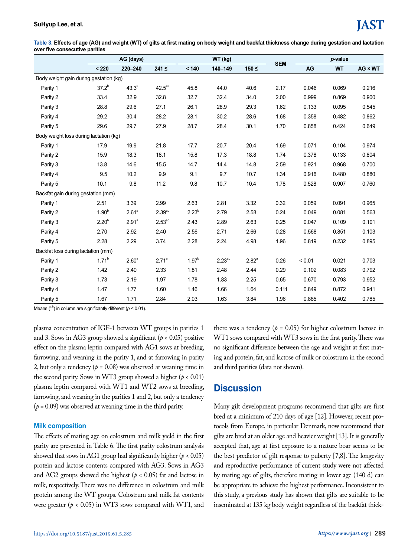**Table 3. Effects of age (AG) and weight (WT) of gilts at first mating on body weight and backfat thickness change during gestation and lactation over five consecutive parities**

|                                        | AG (days)         |                   |                   | WT (kg)    |             |            | p-value    |        |           |                |
|----------------------------------------|-------------------|-------------------|-------------------|------------|-------------|------------|------------|--------|-----------|----------------|
|                                        | < 220             | 220-240           | $241 \leq$        | < 140      | 140-149     | $150 \leq$ | <b>SEM</b> | AG     | <b>WT</b> | $AG \times WT$ |
| Body weight gain during gestation (kg) |                   |                   |                   |            |             |            |            |        |           |                |
| Parity 1                               | $37.2^{b}$        | $43.3^{a}$        | $42.5^{ab}$       | 45.8       | 44.0        | 40.6       | 2.17       | 0.046  | 0.069     | 0.216          |
| Parity 2                               | 33.4              | 32.9              | 32.8              | 32.7       | 32.4        | 34.0       | 2.00       | 0.999  | 0.869     | 0.900          |
| Parity 3                               | 28.8              | 29.6              | 27.1              | 26.1       | 28.9        | 29.3       | 1.62       | 0.133  | 0.095     | 0.545          |
| Parity 4                               | 29.2              | 30.4              | 28.2              | 28.1       | 30.2        | 28.6       | 1.68       | 0.358  | 0.482     | 0.862          |
| Parity 5                               | 29.6              | 29.7              | 27.9              | 28.7       | 28.4        | 30.1       | 1.70       | 0.858  | 0.424     | 0.649          |
| Body weight loss during lactation (kg) |                   |                   |                   |            |             |            |            |        |           |                |
| Parity 1                               | 17.9              | 19.9              | 21.8              | 17.7       | 20.7        | 20.4       | 1.69       | 0.071  | 0.104     | 0.974          |
| Parity 2                               | 15.9              | 18.3              | 18.1              | 15.8       | 17.3        | 18.8       | 1.74       | 0.378  | 0.133     | 0.804          |
| Parity 3                               | 13.8              | 14.6              | 15.5              | 14.7       | 14.4        | 14.8       | 2.59       | 0.921  | 0.968     | 0.700          |
| Parity 4                               | 9.5               | 10.2              | 9.9               | 9.1        | 9.7         | 10.7       | 1.34       | 0.916  | 0.480     | 0.880          |
| Parity 5                               | 10.1              | 9.8               | 11.2              | 9.8        | 10.7        | 10.4       | 1.78       | 0.528  | 0.907     | 0.760          |
| Backfat gain during gestation (mm)     |                   |                   |                   |            |             |            |            |        |           |                |
| Parity 1                               | 2.51              | 3.39              | 2.99              | 2.63       | 2.81        | 3.32       | 0.32       | 0.059  | 0.091     | 0.965          |
| Parity 2                               | 1.90 <sup>b</sup> | 2.61 <sup>a</sup> | $2.39^{ab}$       | $2.23^{b}$ | 2.79        | 2.58       | 0.24       | 0.049  | 0.081     | 0.563          |
| Parity 3                               | $2.20^{b}$        | 2.91 <sup>a</sup> | $2.53^{ab}$       | 2.43       | 2.89        | 2.63       | 0.25       | 0.047  | 0.109     | 0.101          |
| Parity 4                               | 2.70              | 2.92              | 2.40              | 2.56       | 2.71        | 2.66       | 0.28       | 0.568  | 0.851     | 0.103          |
| Parity 5                               | 2.28              | 2.29              | 3.74              | 2.28       | 2.24        | 4.98       | 1.96       | 0.819  | 0.232     | 0.895          |
| Backfat loss during lactation (mm)     |                   |                   |                   |            |             |            |            |        |           |                |
| Parity 1                               | 1.71 <sup>b</sup> | 2.60 <sup>a</sup> | 2.71 <sup>a</sup> | $1.97^{b}$ | $2.23^{ab}$ | $2.82^{a}$ | 0.26       | < 0.01 | 0.021     | 0.703          |
| Parity 2                               | 1.42              | 2.40              | 2.33              | 1.81       | 2.48        | 2.44       | 0.29       | 0.102  | 0.083     | 0.792          |
| Parity 3                               | 1.73              | 2.19              | 1.97              | 1.78       | 1.83        | 2.25       | 0.65       | 0.670  | 0.793     | 0.952          |
| Parity 4                               | 1.47              | 1.77              | 1.60              | 1.46       | 1.66        | 1.64       | 0.111      | 0.849  | 0.872     | 0.941          |
| Parity 5                               | 1.67              | 1.71              | 2.84              | 2.03       | 1.63        | 3.84       | 1.96       | 0.885  | 0.402     | 0.785          |

Means  $(^{a,b})$  in column are significantly different ( $p < 0.01$ ).

plasma concentration of IGF-1 between WT groups in parities 1 and 3. Sows in AG3 group showed a significant ( $p < 0.05$ ) positive effect on the plasma leptin compared with AG1 sows at breeding, farrowing, and weaning in the parity 1, and at farrowing in parity 2, but only a tendency  $(p = 0.08)$  was observed at weaning time in the second parity. Sows in WT3 group showed a higher ( $p < 0.01$ ) plasma leptin compared with WT1 and WT2 sows at breeding, farrowing, and weaning in the parities 1 and 2, but only a tendency  $(p = 0.09)$  was observed at weaning time in the third parity.

#### **Milk composition**

The effects of mating age on colostrum and milk yield in the first parity are presented in Table 6. The first parity colostrum analysis showed that sows in AG1 group had significantly higher ( $p < 0.05$ ) protein and lactose contents compared with AG3. Sows in AG3 and AG2 groups showed the highest ( $p < 0.05$ ) fat and lactose in milk, respectively. There was no difference in colostrum and milk protein among the WT groups. Colostrum and milk fat contents were greater ( $p < 0.05$ ) in WT3 sows compared with WT1, and

there was a tendency ( $p = 0.05$ ) for higher colostrum lactose in WT1 sows compared with WT3 sows in the first parity. There was no significant difference between the age and weight at first mating and protein, fat, and lactose of milk or colostrum in the second and third parities (data not shown).

## **Discussion**

Many gilt development programs recommend that gilts are first bred at a minimum of 210 days of age [12]. However, recent protocols from Europe, in particular Denmark, now recommend that gilts are bred at an older age and heavier weight [13]. It is generally accepted that, age at first exposure to a mature boar seems to be the best predictor of gilt response to puberty [7,8]. The longevity and reproductive performance of current study were not affected by mating age of gilts, therefore mating in lower age (140 d) can be appropriate to achieve the highest performance. Inconsistent to this study, a previous study has shown that gilts are suitable to be inseminated at 135 kg body weight regardless of the backfat thick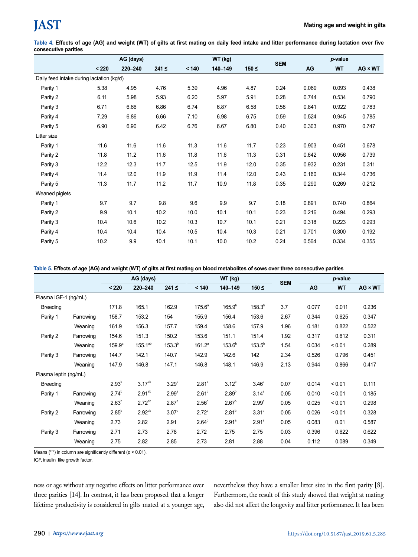**Table 4. Effects of age (AG) and weight (WT) of gilts at first mating on daily feed intake and litter performance during lactation over five consecutive parities**

|                                           | AG (days) |         |            |       | WT (kg) |            |            | p-value |       |         |
|-------------------------------------------|-----------|---------|------------|-------|---------|------------|------------|---------|-------|---------|
|                                           | < 220     | 220-240 | $241 \leq$ | < 140 | 140-149 | $150 \leq$ | <b>SEM</b> | AG      | WT    | AG × WT |
| Daily feed intake during lactation (kg/d) |           |         |            |       |         |            |            |         |       |         |
| Parity 1                                  | 5.38      | 4.95    | 4.76       | 5.39  | 4.96    | 4.87       | 0.24       | 0.069   | 0.093 | 0.438   |
| Parity 2                                  | 6.11      | 5.98    | 5.93       | 6.20  | 5.97    | 5.91       | 0.28       | 0.744   | 0.534 | 0.790   |
| Parity 3                                  | 6.71      | 6.66    | 6.86       | 6.74  | 6.87    | 6.58       | 0.58       | 0.841   | 0.922 | 0.783   |
| Parity 4                                  | 7.29      | 6.86    | 6.66       | 7.10  | 6.98    | 6.75       | 0.59       | 0.524   | 0.945 | 0.785   |
| Parity 5                                  | 6.90      | 6.90    | 6.42       | 6.76  | 6.67    | 6.80       | 0.40       | 0.303   | 0.970 | 0.747   |
| Litter size                               |           |         |            |       |         |            |            |         |       |         |
| Parity 1                                  | 11.6      | 11.6    | 11.6       | 11.3  | 11.6    | 11.7       | 0.23       | 0.903   | 0.451 | 0.678   |
| Parity 2                                  | 11.8      | 11.2    | 11.6       | 11.8  | 11.6    | 11.3       | 0.31       | 0.642   | 0.956 | 0.739   |
| Parity 3                                  | 12.2      | 12.3    | 11.7       | 12.5  | 11.9    | 12.0       | 0.35       | 0.932   | 0.231 | 0.311   |
| Parity 4                                  | 11.4      | 12.0    | 11.9       | 11.9  | 11.4    | 12.0       | 0.43       | 0.160   | 0.344 | 0.736   |
| Parity 5                                  | 11.3      | 11.7    | 11.2       | 11.7  | 10.9    | 11.8       | 0.35       | 0.290   | 0.269 | 0.212   |
| Weaned piglets                            |           |         |            |       |         |            |            |         |       |         |
| Parity 1                                  | 9.7       | 9.7     | 9.8        | 9.6   | 9.9     | 9.7        | 0.18       | 0.891   | 0.740 | 0.864   |
| Parity 2                                  | 9.9       | 10.1    | 10.2       | 10.0  | 10.1    | 10.1       | 0.23       | 0.216   | 0.494 | 0.293   |
| Parity 3                                  | 10.4      | 10.6    | 10.2       | 10.3  | 10.7    | 10.1       | 0.21       | 0.318   | 0.223 | 0.293   |
| Parity 4                                  | 10.4      | 10.4    | 10.4       | 10.5  | 10.4    | 10.3       | 0.21       | 0.701   | 0.300 | 0.192   |
| Parity 5                                  | 10.2      | 9.9     | 10.1       | 10.1  | 10.0    | 10.2       | 0.24       | 0.564   | 0.334 | 0.355   |

#### **Table 5. Effects of age (AG) and weight (WT) of gilts at first mating on blood metabolites of sows over three consecutive parities**

|                       |           | AG (days)         |                    |                   | WT (kg)            |                   |                   | p-value    |       |           |                |
|-----------------------|-----------|-------------------|--------------------|-------------------|--------------------|-------------------|-------------------|------------|-------|-----------|----------------|
|                       |           | < 220             | 220-240            | $241 \leq$        | < 140              | 140-149           | $150 \leq$        | <b>SEM</b> | AG    | <b>WT</b> | $AG \times WT$ |
| Plasma IGF-1 (ng/mL)  |           |                   |                    |                   |                    |                   |                   |            |       |           |                |
| <b>Breeding</b>       |           | 171.8             | 165.1              | 162.9             | $175.6^{\circ}$    | $165.9^{b}$       | $158.3^{b}$       | 3.7        | 0.077 | 0.011     | 0.236          |
| Parity 1              | Farrowing | 158.7             | 153.2              | 154               | 155.9              | 156.4             | 153.6             | 2.67       | 0.344 | 0.625     | 0.347          |
|                       | Weaning   | 161.9             | 156.3              | 157.7             | 159.4              | 158.6             | 157.9             | 1.96       | 0.181 | 0.822     | 0.522          |
| Parity 2              | Farrowing | 154.6             | 151.3              | 150.2             | 153.6              | 151.1             | 151.4             | 1.92       | 0.317 | 0.612     | 0.311          |
|                       | Weaning   | $159.9^{\circ}$   | $155.1^{ab}$       | $153.3^{b}$       | 161.2 <sup>a</sup> | $153.6^{b}$       | $153.5^{b}$       | 1.54       | 0.034 | < 0.01    | 0.289          |
| Parity 3              | Farrowing | 144.7             | 142.1              | 140.7             | 142.9              | 142.6             | 142               | 2.34       | 0.526 | 0.796     | 0.451          |
|                       | Weaning   | 147.9             | 146.8              | 147.1             | 146.8              | 148.1             | 146.9             | 2.13       | 0.944 | 0.866     | 0.417          |
| Plasma leptin (ng/mL) |           |                   |                    |                   |                    |                   |                   |            |       |           |                |
| <b>Breeding</b>       |           | $2.93^{b}$        | 3.17 <sup>ab</sup> | $3.29^{a}$        | $2.81^\circ$       | $3.12^{b}$        | 3.46 <sup>a</sup> | 0.07       | 0.014 | < 0.01    | 0.111          |
| Parity 1              | Farrowing | $2.74^{b}$        | $2.91^{ab}$        | 2.99 <sup>a</sup> | $2.61$ °           | $2.89^{b}$        | $3.14^{a}$        | 0.05       | 0.010 | < 0.01    | 0.185          |
|                       | Weaning   | 2.63 <sup>b</sup> | $2.72^{ab}$        | 2.87 <sup>a</sup> | 2.56 <sup>b</sup>  | $2.67^{b}$        | 2.99 <sup>a</sup> | 0.05       | 0.025 | < 0.01    | 0.298          |
| Parity 2              | Farrowing | $2.85^{b}$        | $2.92^{ab}$        | 3.07 <sup>a</sup> | $2.72^{b}$         | 2.81 <sup>b</sup> | $3.31^{a}$        | 0.05       | 0.026 | < 0.01    | 0.328          |
|                       | Weaning   | 2.73              | 2.82               | 2.91              | $2.64^{b}$         | $2.91^a$          | 2.91 <sup>a</sup> | 0.05       | 0.083 | 0.01      | 0.587          |
| Parity 3              | Farrowing | 2.71              | 2.73               | 2.78              | 2.72               | 2.75              | 2.75              | 0.03       | 0.396 | 0.622     | 0.622          |
|                       | Weaning   | 2.75              | 2.82               | 2.85              | 2.73               | 2.81              | 2.88              | 0.04       | 0.112 | 0.089     | 0.349          |

Means  $(^{a-c})$  in column are significantly different ( $p < 0.01$ ).

IGF, insulin-like growth factor.

ness or age without any negative effects on litter performance over three parities [14]. In contrast, it has been proposed that a longer lifetime productivity is considered in gilts mated at a younger age, nevertheless they have a smaller litter size in the first parity [8]. Furthermore, the result of this study showed that weight at mating also did not affect the longevity and litter performance. It has been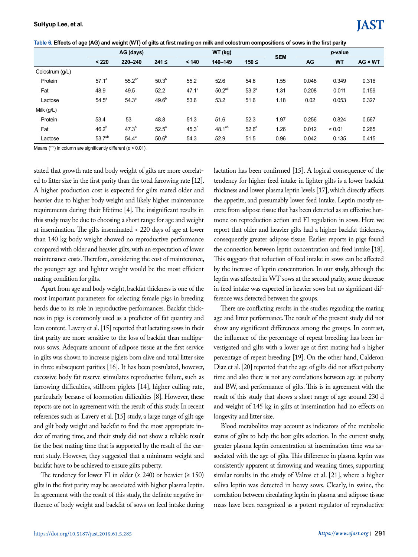|  |  | Table 6. Effects of age (AG) and weight (WT) of gilts at first mating on milk and colostrum compositions of sows in the first parity |  |
|--|--|--------------------------------------------------------------------------------------------------------------------------------------|--|
|--|--|--------------------------------------------------------------------------------------------------------------------------------------|--|

|                 | AG (days)          |                |                   |            | WT (kg)            |                   |            | p-value |           |                |
|-----------------|--------------------|----------------|-------------------|------------|--------------------|-------------------|------------|---------|-----------|----------------|
|                 | < 220              | 220-240        | $241 \leq$        | < 140      | 140-149            | $150 \leq$        | <b>SEM</b> | AG      | <b>WT</b> | $AG \times WT$ |
| Colostrum (q/L) |                    |                |                   |            |                    |                   |            |         |           |                |
| Protein         | $57.1^a$           | $55.2^{ab}$    | $50.3^{b}$        | 55.2       | 52.6               | 54.8              | 1.55       | 0.048   | 0.349     | 0.316          |
| Fat             | 48.9               | 49.5           | 52.2              | $47.1^{b}$ | 50.2 <sup>ab</sup> | 53.3 <sup>a</sup> | 1.31       | 0.208   | 0.011     | 0.159          |
| Lactose         | $54.5^{\circ}$     | $54.3^{a}$     | 49.6 <sup>b</sup> | 53.6       | 53.2               | 51.6              | 1.18       | 0.02    | 0.053     | 0.327          |
| Milk $(g/L)$    |                    |                |                   |            |                    |                   |            |         |           |                |
| Protein         | 53.4               | 53             | 48.8              | 51.3       | 51.6               | 52.3              | 1.97       | 0.256   | 0.824     | 0.567          |
| Fat             | 46.2 <sup>b</sup>  | $47.3^{b}$     | $52.5^a$          | $45.3^{b}$ | $48.1^{ab}$        | 52.6 <sup>a</sup> | 1.26       | 0.012   | < 0.01    | 0.265          |
| Lactose         | 53.7 <sup>ab</sup> | $54.4^{\circ}$ | 50.6 <sup>b</sup> | 54.3       | 52.9               | 51.5              | 0.96       | 0.042   | 0.135     | 0.415          |

Means  $(^{a-c})$  in column are significantly different ( $p < 0.01$ ).

stated that growth rate and body weight of gilts are more correlated to litter size in the first parity than the total farrowing rate [12]. A higher production cost is expected for gilts mated older and heavier due to higher body weight and likely higher maintenance requirements during their lifetime [4]. The insignificant results in this study may be due to choosing a short range for age and weight at insemination. The gilts inseminated < 220 days of age at lower than 140 kg body weight showed no reproductive performance compared with older and heavier gilts, with an expectation of lower maintenance costs. Therefore, considering the cost of maintenance, the younger age and lighter weight would be the most efficient mating condition for gilts.

Apart from age and body weight, backfat thickness is one of the most important parameters for selecting female pigs in breeding herds due to its role in reproductive performances. Backfat thickness in pigs is commonly used as a predictor of fat quantity and lean content. Lavery et al. [15] reported that lactating sows in their first parity are more sensitive to the loss of backfat than multiparous sows. Adequate amount of adipose tissue at the first service in gilts was shown to increase piglets born alive and total litter size in three subsequent parities [16]. It has been postulated, however, excessive body fat reserve stimulates reproductive failure, such as farrowing difficulties, stillborn piglets [14], higher culling rate, particularly because of locomotion difficulties [8]. However, these reports are not in agreement with the result of this study. In recent references such as Lavery et al. [15] study, a large range of gilt age and gilt body weight and backfat to find the most appropriate index of mating time, and their study did not show a reliable result for the best mating time that is supported by the result of the current study. However, they suggested that a minimum weight and backfat have to be achieved to ensure gilts puberty.

The tendency for lower FI in older  $(≥ 240)$  or heavier  $(≥ 150)$ gilts in the first parity may be associated with higher plasma leptin. In agreement with the result of this study, the definite negative influence of body weight and backfat of sows on feed intake during lactation has been confirmed [15]. A logical consequence of the tendency for higher feed intake in lighter gilts is a lower backfat thickness and lower plasma leptin levels [17], which directly affects the appetite, and presumably lower feed intake. Leptin mostly secrete from adipose tissue that has been detected as an effective hormone on reproduction action and FI regulation in sows. Here we report that older and heavier gilts had a higher backfat thickness, consequently greater adipose tissue. Earlier reports in pigs found the connection between leptin concentration and feed intake [18]. This suggests that reduction of feed intake in sows can be affected by the increase of leptin concentration. In our study, although the leptin was affected in WT sows at the second parity, some decrease in feed intake was expected in heavier sows but no significant difference was detected between the groups.

There are conflicting results in the studies regarding the mating age and litter performance. The result of the present study did not show any significant differences among the groups. In contrast, the influence of the percentage of repeat breeding has been investigated and gilts with a lower age at first mating had a higher percentage of repeat breeding [19]. On the other hand, Calderon Diaz et al. [20] reported that the age of gilts did not affect puberty time and also there is not any correlations between age at puberty and BW, and performance of gilts. This is in agreement with the result of this study that shows a short range of age around 230 d and weight of 145 kg in gilts at insemination had no effects on longevity and litter size.

Blood metabolites may account as indicators of the metabolic status of gilts to help the best gilts selection. In the current study, greater plasma leptin concentration at insemination time was associated with the age of gilts. This difference in plasma leptin was consistently apparent at farrowing and weaning times, supporting similar results in the study of Valros et al. [21], where a higher saliva leptin was detected in heavy sows. Clearly, in swine, the correlation between circulating leptin in plasma and adipose tissue mass have been recognized as a potent regulator of reproductive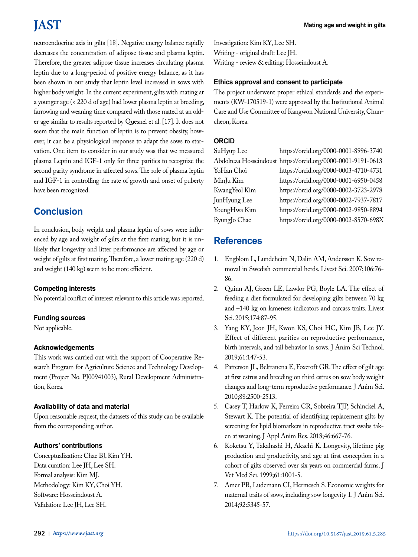## **JAST**

neuroendocrine axis in gilts [18]. Negative energy balance rapidly decreases the concentration of adipose tissue and plasma leptin. Therefore, the greater adipose tissue increases circulating plasma leptin due to a long-period of positive energy balance, as it has been shown in our study that leptin level increased in sows with higher body weight. In the current experiment, gilts with mating at a younger age (< 220 d of age) had lower plasma leptin at breeding, farrowing and weaning time compared with those mated at an older age similar to results reported by Quesnel et al. [17]. It does not seem that the main function of leptin is to prevent obesity, however, it can be a physiological response to adapt the sows to starvation. One item to consider in our study was that we measured plasma Leptin and IGF-1 only for three parities to recognize the second parity syndrome in affected sows. The role of plasma leptin and IGF-1 in controlling the rate of growth and onset of puberty have been recognized.

## **Conclusion**

In conclusion, body weight and plasma leptin of sows were influenced by age and weight of gilts at the first mating, but it is unlikely that longevity and litter performance are affected by age or weight of gilts at first mating. Therefore, a lower mating age (220 d) and weight (140 kg) seem to be more efficient.

#### **Competing interests**

No potential conflict of interest relevant to this article was reported.

#### **Funding sources**

Not applicable.

#### **Acknowledgements**

This work was carried out with the support of Cooperative Research Program for Agriculture Science and Technology Development (Project No. PJ00941003), Rural Development Administration, Korea.

#### **Availability of data and material**

Upon reasonable request, the datasets of this study can be available from the corresponding author.

### **Authors' contributions**

Conceptualization: Chae BJ, Kim YH. Data curation: Lee JH, Lee SH. Formal analysis: Kim MJ. Methodology: Kim KY, Choi YH. Software: Hosseindoust A. Validation: Lee JH, Lee SH.

Investigation: Kim KY, Lee SH. Writing - original draft: Lee JH. Writing - review & editing: Hosseindoust A.

#### **Ethics approval and consent to participate**

The project underwent proper ethical standards and the experiments (KW-170519-1) were approved by the Institutional Animal Care and Use Committee of Kangwon National University, Chuncheon, Korea.

### **ORCID**

| https://orcid.org/0000-0001-8996-3740<br>SuHyup Lee          |  |
|--------------------------------------------------------------|--|
| Abdolreza Hosseindoust https://orcid.org/0000-0001-9191-0613 |  |
| https://orcid.org/0000-0003-4710-4731<br>YoHan Choi          |  |
| https://orcid.org/0000-0001-6950-0458<br>MinJu Kim           |  |
| https://orcid.org/0000-0002-3723-2978<br>KwangYeol Kim       |  |
| https://orcid.org/0000-0002-7937-7817<br>JunHyung Lee        |  |
| https://orcid.org/0000-0002-9850-8894<br>YoungHwa Kim        |  |
| https://orcid.org/0000-0002-8570-698X<br>ByungJo Chae        |  |

## **References**

- 1. Engblom L, Lundeheim N, Dalin AM, Andersson K. Sow removal in Swedish commercial herds. Livest Sci. 2007;106:76- 86.
- 2. Quinn AJ, Green LE, Lawlor PG, Boyle LA. The effect of feeding a diet formulated for developing gilts between 70 kg and –140 kg on lameness indicators and carcass traits. Livest Sci. 2015;174:87-95.
- 3. Yang KY, Jeon JH, Kwon KS, Choi HC, Kim JB, Lee JY. Effect of different parities on reproductive performance, birth intervals, and tail behavior in sows. J Anim Sci Technol. 2019;61:147-53.
- 4. Patterson JL, Beltranena E, Foxcroft GR. The effect of gilt age at first estrus and breeding on third estrus on sow body weight changes and long-term reproductive performance. J Anim Sci. 2010;88:2500-2513.
- 5. Casey T, Harlow K, Ferreira CR, Sobreira TJP, Schinckel A, Stewart K. The potential of identifying replacement gilts by screening for lipid biomarkers in reproductive tract swabs taken at weaning. J Appl Anim Res. 2018;46:667-76.
- 6. Koketsu Y, Takahashi H, Akachi K. Longevity, lifetime pig production and productivity, and age at first conception in a cohort of gilts observed over six years on commercial farms. J Vet Med Sci. 1999;61:1001-5.
- 7. Amer PR, Ludemann CI, Hermesch S. Economic weights for maternal traits of sows, including sow longevity 1. J Anim Sci. 2014;92:5345-57.